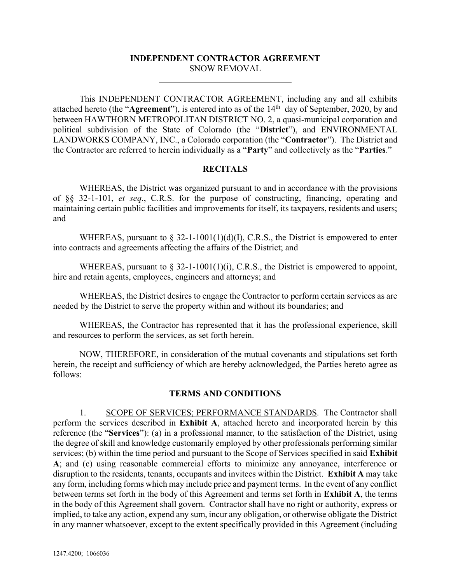#### INDEPENDENT CONTRACTOR AGREEMENT SNOW REMOVAL

This INDEPENDENT CONTRACTOR AGREEMENT, including any and all exhibits attached hereto (the "Agreement"), is entered into as of the 14<sup>th</sup> day of September, 2020, by and between HAWTHORN METROPOLITAN DISTRICT NO. 2, a quasi-municipal corporation and political subdivision of the State of Colorado (the "District"), and ENVIRONMENTAL LANDWORKS COMPANY, INC., a Colorado corporation (the "Contractor"). The District and the Contractor are referred to herein individually as a "Party" and collectively as the "Parties."

#### RECITALS

WHEREAS, the District was organized pursuant to and in accordance with the provisions of §§ 32-1-101, et seq., C.R.S. for the purpose of constructing, financing, operating and maintaining certain public facilities and improvements for itself, its taxpayers, residents and users; and

WHEREAS, pursuant to  $\S$  32-1-1001(1)(d)(I), C.R.S., the District is empowered to enter into contracts and agreements affecting the affairs of the District; and

WHEREAS, pursuant to  $\S$  32-1-1001(1)(i), C.R.S., the District is empowered to appoint, hire and retain agents, employees, engineers and attorneys; and

WHEREAS, the District desires to engage the Contractor to perform certain services as are needed by the District to serve the property within and without its boundaries; and

WHEREAS, the Contractor has represented that it has the professional experience, skill and resources to perform the services, as set forth herein.

NOW, THEREFORE, in consideration of the mutual covenants and stipulations set forth herein, the receipt and sufficiency of which are hereby acknowledged, the Parties hereto agree as follows:

#### TERMS AND CONDITIONS

1. SCOPE OF SERVICES; PERFORMANCE STANDARDS. The Contractor shall perform the services described in Exhibit A, attached hereto and incorporated herein by this reference (the "Services"): (a) in a professional manner, to the satisfaction of the District, using the degree of skill and knowledge customarily employed by other professionals performing similar services; (b) within the time period and pursuant to the Scope of Services specified in said Exhibit A; and (c) using reasonable commercial efforts to minimize any annoyance, interference or disruption to the residents, tenants, occupants and invitees within the District. Exhibit A may take any form, including forms which may include price and payment terms. In the event of any conflict between terms set forth in the body of this Agreement and terms set forth in Exhibit A, the terms in the body of this Agreement shall govern. Contractor shall have no right or authority, express or implied, to take any action, expend any sum, incur any obligation, or otherwise obligate the District in any manner whatsoever, except to the extent specifically provided in this Agreement (including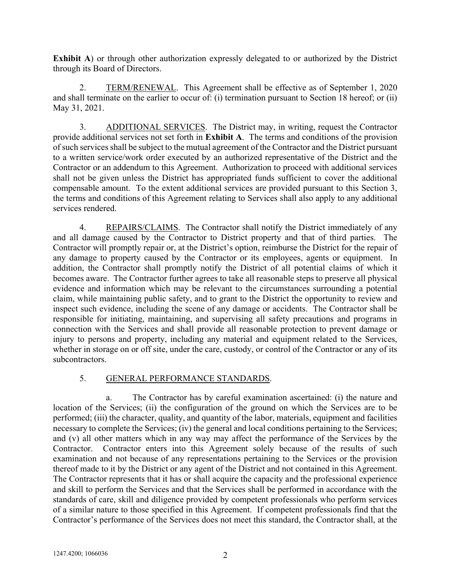Exhibit A) or through other authorization expressly delegated to or authorized by the District through its Board of Directors.

2. TERM/RENEWAL. This Agreement shall be effective as of September 1, 2020 and shall terminate on the earlier to occur of: (i) termination pursuant to Section 18 hereof; or (ii) May 31, 2021.

3. ADDITIONAL SERVICES. The District may, in writing, request the Contractor provide additional services not set forth in Exhibit A. The terms and conditions of the provision of such services shall be subject to the mutual agreement of the Contractor and the District pursuant to a written service/work order executed by an authorized representative of the District and the Contractor or an addendum to this Agreement. Authorization to proceed with additional services shall not be given unless the District has appropriated funds sufficient to cover the additional compensable amount. To the extent additional services are provided pursuant to this Section 3, the terms and conditions of this Agreement relating to Services shall also apply to any additional services rendered.

4. REPAIRS/CLAIMS. The Contractor shall notify the District immediately of any and all damage caused by the Contractor to District property and that of third parties. The Contractor will promptly repair or, at the District's option, reimburse the District for the repair of any damage to property caused by the Contractor or its employees, agents or equipment. In addition, the Contractor shall promptly notify the District of all potential claims of which it becomes aware. The Contractor further agrees to take all reasonable steps to preserve all physical evidence and information which may be relevant to the circumstances surrounding a potential claim, while maintaining public safety, and to grant to the District the opportunity to review and inspect such evidence, including the scene of any damage or accidents. The Contractor shall be responsible for initiating, maintaining, and supervising all safety precautions and programs in connection with the Services and shall provide all reasonable protection to prevent damage or injury to persons and property, including any material and equipment related to the Services, whether in storage on or off site, under the care, custody, or control of the Contractor or any of its subcontractors.

#### 5. GENERAL PERFORMANCE STANDARDS.

a. The Contractor has by careful examination ascertained: (i) the nature and location of the Services; (ii) the configuration of the ground on which the Services are to be performed; (iii) the character, quality, and quantity of the labor, materials, equipment and facilities necessary to complete the Services; (iv) the general and local conditions pertaining to the Services; and (v) all other matters which in any way may affect the performance of the Services by the Contractor. Contractor enters into this Agreement solely because of the results of such examination and not because of any representations pertaining to the Services or the provision thereof made to it by the District or any agent of the District and not contained in this Agreement. The Contractor represents that it has or shall acquire the capacity and the professional experience and skill to perform the Services and that the Services shall be performed in accordance with the standards of care, skill and diligence provided by competent professionals who perform services of a similar nature to those specified in this Agreement. If competent professionals find that the Contractor's performance of the Services does not meet this standard, the Contractor shall, at the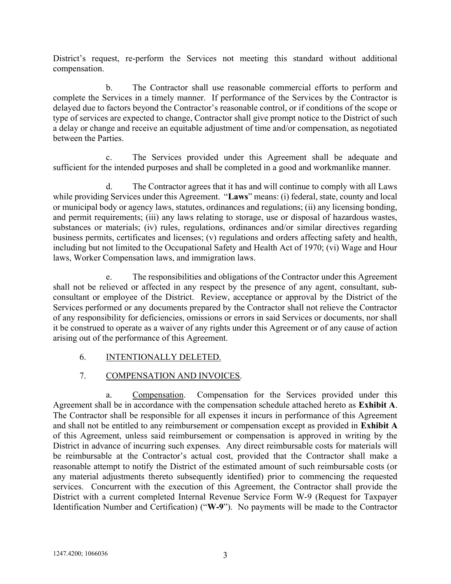District's request, re-perform the Services not meeting this standard without additional compensation.

b. The Contractor shall use reasonable commercial efforts to perform and complete the Services in a timely manner. If performance of the Services by the Contractor is delayed due to factors beyond the Contractor's reasonable control, or if conditions of the scope or type of services are expected to change, Contractor shall give prompt notice to the District of such a delay or change and receive an equitable adjustment of time and/or compensation, as negotiated between the Parties.

c. The Services provided under this Agreement shall be adequate and sufficient for the intended purposes and shall be completed in a good and workmanlike manner.

d. The Contractor agrees that it has and will continue to comply with all Laws while providing Services under this Agreement. "Laws" means: (i) federal, state, county and local or municipal body or agency laws, statutes, ordinances and regulations; (ii) any licensing bonding, and permit requirements; (iii) any laws relating to storage, use or disposal of hazardous wastes, substances or materials; (iv) rules, regulations, ordinances and/or similar directives regarding business permits, certificates and licenses; (v) regulations and orders affecting safety and health, including but not limited to the Occupational Safety and Health Act of 1970; (vi) Wage and Hour laws, Worker Compensation laws, and immigration laws.

The responsibilities and obligations of the Contractor under this Agreement shall not be relieved or affected in any respect by the presence of any agent, consultant, subconsultant or employee of the District. Review, acceptance or approval by the District of the Services performed or any documents prepared by the Contractor shall not relieve the Contractor of any responsibility for deficiencies, omissions or errors in said Services or documents, nor shall it be construed to operate as a waiver of any rights under this Agreement or of any cause of action arising out of the performance of this Agreement.

6. INTENTIONALLY DELETED.

# 7. COMPENSATION AND INVOICES.

a. Compensation. Compensation for the Services provided under this Agreement shall be in accordance with the compensation schedule attached hereto as Exhibit A. The Contractor shall be responsible for all expenses it incurs in performance of this Agreement and shall not be entitled to any reimbursement or compensation except as provided in Exhibit A of this Agreement, unless said reimbursement or compensation is approved in writing by the District in advance of incurring such expenses. Any direct reimbursable costs for materials will be reimbursable at the Contractor's actual cost, provided that the Contractor shall make a reasonable attempt to notify the District of the estimated amount of such reimbursable costs (or any material adjustments thereto subsequently identified) prior to commencing the requested services. Concurrent with the execution of this Agreement, the Contractor shall provide the District with a current completed Internal Revenue Service Form W-9 (Request for Taxpayer Identification Number and Certification) ("W-9"). No payments will be made to the Contractor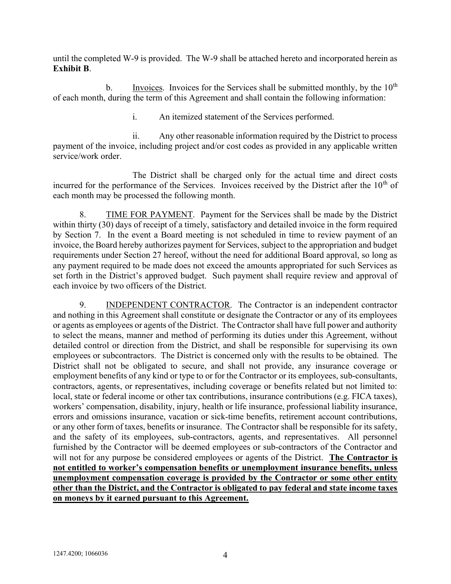until the completed W-9 is provided. The W-9 shall be attached hereto and incorporated herein as Exhibit B.

b. Invoices. Invoices for the Services shall be submitted monthly, by the  $10<sup>th</sup>$ of each month, during the term of this Agreement and shall contain the following information:

i. An itemized statement of the Services performed.

ii. Any other reasonable information required by the District to process payment of the invoice, including project and/or cost codes as provided in any applicable written service/work order.

The District shall be charged only for the actual time and direct costs incurred for the performance of the Services. Invoices received by the District after the  $10<sup>th</sup>$  of each month may be processed the following month.

8. TIME FOR PAYMENT. Payment for the Services shall be made by the District within thirty (30) days of receipt of a timely, satisfactory and detailed invoice in the form required by Section 7. In the event a Board meeting is not scheduled in time to review payment of an invoice, the Board hereby authorizes payment for Services, subject to the appropriation and budget requirements under Section 27 hereof, without the need for additional Board approval, so long as any payment required to be made does not exceed the amounts appropriated for such Services as set forth in the District's approved budget. Such payment shall require review and approval of each invoice by two officers of the District.

9. INDEPENDENT CONTRACTOR. The Contractor is an independent contractor and nothing in this Agreement shall constitute or designate the Contractor or any of its employees or agents as employees or agents of the District. The Contractor shall have full power and authority to select the means, manner and method of performing its duties under this Agreement, without detailed control or direction from the District, and shall be responsible for supervising its own employees or subcontractors. The District is concerned only with the results to be obtained. The District shall not be obligated to secure, and shall not provide, any insurance coverage or employment benefits of any kind or type to or for the Contractor or its employees, sub-consultants, contractors, agents, or representatives, including coverage or benefits related but not limited to: local, state or federal income or other tax contributions, insurance contributions (e.g. FICA taxes), workers' compensation, disability, injury, health or life insurance, professional liability insurance, errors and omissions insurance, vacation or sick-time benefits, retirement account contributions, or any other form of taxes, benefits or insurance. The Contractor shall be responsible for its safety, and the safety of its employees, sub-contractors, agents, and representatives. All personnel furnished by the Contractor will be deemed employees or sub-contractors of the Contractor and will not for any purpose be considered employees or agents of the District. The Contractor is not entitled to worker's compensation benefits or unemployment insurance benefits, unless unemployment compensation coverage is provided by the Contractor or some other entity other than the District, and the Contractor is obligated to pay federal and state income taxes on moneys by it earned pursuant to this Agreement.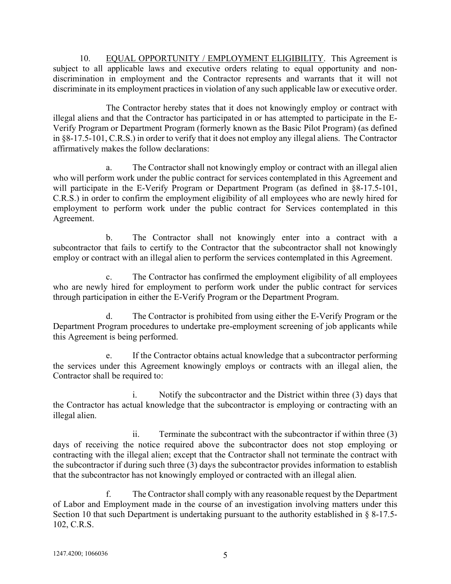10. EQUAL OPPORTUNITY / EMPLOYMENT ELIGIBILITY. This Agreement is subject to all applicable laws and executive orders relating to equal opportunity and nondiscrimination in employment and the Contractor represents and warrants that it will not discriminate in its employment practices in violation of any such applicable law or executive order.

The Contractor hereby states that it does not knowingly employ or contract with illegal aliens and that the Contractor has participated in or has attempted to participate in the E-Verify Program or Department Program (formerly known as the Basic Pilot Program) (as defined in §8-17.5-101, C.R.S.) in order to verify that it does not employ any illegal aliens. The Contractor affirmatively makes the follow declarations:

a. The Contractor shall not knowingly employ or contract with an illegal alien who will perform work under the public contract for services contemplated in this Agreement and will participate in the E-Verify Program or Department Program (as defined in §8-17.5-101, C.R.S.) in order to confirm the employment eligibility of all employees who are newly hired for employment to perform work under the public contract for Services contemplated in this Agreement.

b. The Contractor shall not knowingly enter into a contract with a subcontractor that fails to certify to the Contractor that the subcontractor shall not knowingly employ or contract with an illegal alien to perform the services contemplated in this Agreement.

c. The Contractor has confirmed the employment eligibility of all employees who are newly hired for employment to perform work under the public contract for services through participation in either the E-Verify Program or the Department Program.

d. The Contractor is prohibited from using either the E-Verify Program or the Department Program procedures to undertake pre-employment screening of job applicants while this Agreement is being performed.

If the Contractor obtains actual knowledge that a subcontractor performing the services under this Agreement knowingly employs or contracts with an illegal alien, the Contractor shall be required to:

i. Notify the subcontractor and the District within three (3) days that the Contractor has actual knowledge that the subcontractor is employing or contracting with an illegal alien.

ii. Terminate the subcontract with the subcontractor if within three (3) days of receiving the notice required above the subcontractor does not stop employing or contracting with the illegal alien; except that the Contractor shall not terminate the contract with the subcontractor if during such three (3) days the subcontractor provides information to establish that the subcontractor has not knowingly employed or contracted with an illegal alien.

The Contractor shall comply with any reasonable request by the Department of Labor and Employment made in the course of an investigation involving matters under this Section 10 that such Department is undertaking pursuant to the authority established in § 8-17.5- 102, C.R.S.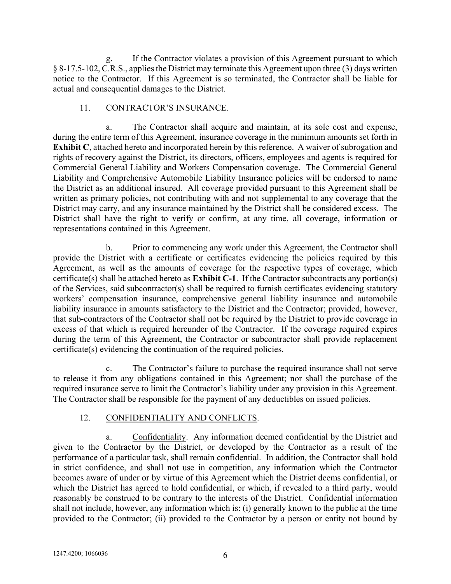If the Contractor violates a provision of this Agreement pursuant to which § 8-17.5-102, C.R.S., applies the District may terminate this Agreement upon three (3) days written notice to the Contractor. If this Agreement is so terminated, the Contractor shall be liable for actual and consequential damages to the District.

#### 11. CONTRACTOR'S INSURANCE.

a. The Contractor shall acquire and maintain, at its sole cost and expense, during the entire term of this Agreement, insurance coverage in the minimum amounts set forth in Exhibit C, attached hereto and incorporated herein by this reference. A waiver of subrogation and rights of recovery against the District, its directors, officers, employees and agents is required for Commercial General Liability and Workers Compensation coverage. The Commercial General Liability and Comprehensive Automobile Liability Insurance policies will be endorsed to name the District as an additional insured. All coverage provided pursuant to this Agreement shall be written as primary policies, not contributing with and not supplemental to any coverage that the District may carry, and any insurance maintained by the District shall be considered excess. The District shall have the right to verify or confirm, at any time, all coverage, information or representations contained in this Agreement.

b. Prior to commencing any work under this Agreement, the Contractor shall provide the District with a certificate or certificates evidencing the policies required by this Agreement, as well as the amounts of coverage for the respective types of coverage, which certificate(s) shall be attached hereto as Exhibit C-1. If the Contractor subcontracts any portion(s) of the Services, said subcontractor(s) shall be required to furnish certificates evidencing statutory workers' compensation insurance, comprehensive general liability insurance and automobile liability insurance in amounts satisfactory to the District and the Contractor; provided, however, that sub-contractors of the Contractor shall not be required by the District to provide coverage in excess of that which is required hereunder of the Contractor. If the coverage required expires during the term of this Agreement, the Contractor or subcontractor shall provide replacement certificate(s) evidencing the continuation of the required policies.

c. The Contractor's failure to purchase the required insurance shall not serve to release it from any obligations contained in this Agreement; nor shall the purchase of the required insurance serve to limit the Contractor's liability under any provision in this Agreement. The Contractor shall be responsible for the payment of any deductibles on issued policies.

#### 12. CONFIDENTIALITY AND CONFLICTS.

a. Confidentiality. Any information deemed confidential by the District and given to the Contractor by the District, or developed by the Contractor as a result of the performance of a particular task, shall remain confidential. In addition, the Contractor shall hold in strict confidence, and shall not use in competition, any information which the Contractor becomes aware of under or by virtue of this Agreement which the District deems confidential, or which the District has agreed to hold confidential, or which, if revealed to a third party, would reasonably be construed to be contrary to the interests of the District. Confidential information shall not include, however, any information which is: (i) generally known to the public at the time provided to the Contractor; (ii) provided to the Contractor by a person or entity not bound by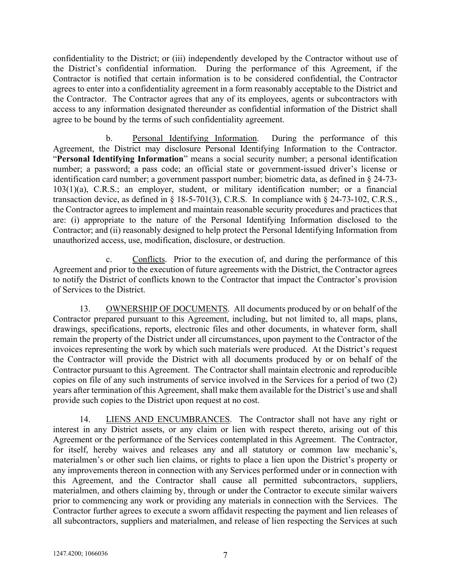confidentiality to the District; or (iii) independently developed by the Contractor without use of the District's confidential information. During the performance of this Agreement, if the Contractor is notified that certain information is to be considered confidential, the Contractor agrees to enter into a confidentiality agreement in a form reasonably acceptable to the District and the Contractor. The Contractor agrees that any of its employees, agents or subcontractors with access to any information designated thereunder as confidential information of the District shall agree to be bound by the terms of such confidentiality agreement.

b. Personal Identifying Information. During the performance of this Agreement, the District may disclosure Personal Identifying Information to the Contractor. "Personal Identifying Information" means a social security number; a personal identification number; a password; a pass code; an official state or government-issued driver's license or identification card number; a government passport number; biometric data, as defined in § 24-73- 103(1)(a), C.R.S.; an employer, student, or military identification number; or a financial transaction device, as defined in § 18-5-701(3), C.R.S. In compliance with § 24-73-102, C.R.S., the Contractor agrees to implement and maintain reasonable security procedures and practices that are: (i) appropriate to the nature of the Personal Identifying Information disclosed to the Contractor; and (ii) reasonably designed to help protect the Personal Identifying Information from unauthorized access, use, modification, disclosure, or destruction.

c. Conflicts. Prior to the execution of, and during the performance of this Agreement and prior to the execution of future agreements with the District, the Contractor agrees to notify the District of conflicts known to the Contractor that impact the Contractor's provision of Services to the District.

13. OWNERSHIP OF DOCUMENTS. All documents produced by or on behalf of the Contractor prepared pursuant to this Agreement, including, but not limited to, all maps, plans, drawings, specifications, reports, electronic files and other documents, in whatever form, shall remain the property of the District under all circumstances, upon payment to the Contractor of the invoices representing the work by which such materials were produced. At the District's request the Contractor will provide the District with all documents produced by or on behalf of the Contractor pursuant to this Agreement. The Contractor shall maintain electronic and reproducible copies on file of any such instruments of service involved in the Services for a period of two (2) years after termination of this Agreement, shall make them available for the District's use and shall provide such copies to the District upon request at no cost.

14. LIENS AND ENCUMBRANCES. The Contractor shall not have any right or interest in any District assets, or any claim or lien with respect thereto, arising out of this Agreement or the performance of the Services contemplated in this Agreement. The Contractor, for itself, hereby waives and releases any and all statutory or common law mechanic's, materialmen's or other such lien claims, or rights to place a lien upon the District's property or any improvements thereon in connection with any Services performed under or in connection with this Agreement, and the Contractor shall cause all permitted subcontractors, suppliers, materialmen, and others claiming by, through or under the Contractor to execute similar waivers prior to commencing any work or providing any materials in connection with the Services. The Contractor further agrees to execute a sworn affidavit respecting the payment and lien releases of all subcontractors, suppliers and materialmen, and release of lien respecting the Services at such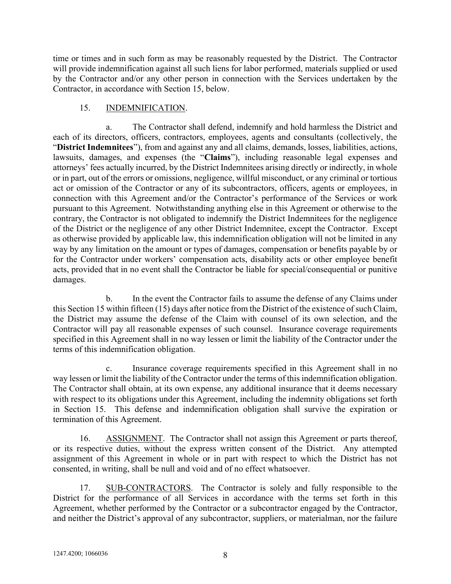time or times and in such form as may be reasonably requested by the District. The Contractor will provide indemnification against all such liens for labor performed, materials supplied or used by the Contractor and/or any other person in connection with the Services undertaken by the Contractor, in accordance with Section 15, below.

## 15. INDEMNIFICATION.

a. The Contractor shall defend, indemnify and hold harmless the District and each of its directors, officers, contractors, employees, agents and consultants (collectively, the "District Indemnitees"), from and against any and all claims, demands, losses, liabilities, actions, lawsuits, damages, and expenses (the "Claims"), including reasonable legal expenses and attorneys' fees actually incurred, by the District Indemnitees arising directly or indirectly, in whole or in part, out of the errors or omissions, negligence, willful misconduct, or any criminal or tortious act or omission of the Contractor or any of its subcontractors, officers, agents or employees, in connection with this Agreement and/or the Contractor's performance of the Services or work pursuant to this Agreement. Notwithstanding anything else in this Agreement or otherwise to the contrary, the Contractor is not obligated to indemnify the District Indemnitees for the negligence of the District or the negligence of any other District Indemnitee, except the Contractor. Except as otherwise provided by applicable law, this indemnification obligation will not be limited in any way by any limitation on the amount or types of damages, compensation or benefits payable by or for the Contractor under workers' compensation acts, disability acts or other employee benefit acts, provided that in no event shall the Contractor be liable for special/consequential or punitive damages.

b. In the event the Contractor fails to assume the defense of any Claims under this Section 15 within fifteen (15) days after notice from the District of the existence of such Claim, the District may assume the defense of the Claim with counsel of its own selection, and the Contractor will pay all reasonable expenses of such counsel. Insurance coverage requirements specified in this Agreement shall in no way lessen or limit the liability of the Contractor under the terms of this indemnification obligation.

c. Insurance coverage requirements specified in this Agreement shall in no way lessen or limit the liability of the Contractor under the terms of this indemnification obligation. The Contractor shall obtain, at its own expense, any additional insurance that it deems necessary with respect to its obligations under this Agreement, including the indemnity obligations set forth in Section 15. This defense and indemnification obligation shall survive the expiration or termination of this Agreement.

16. ASSIGNMENT. The Contractor shall not assign this Agreement or parts thereof, or its respective duties, without the express written consent of the District. Any attempted assignment of this Agreement in whole or in part with respect to which the District has not consented, in writing, shall be null and void and of no effect whatsoever.

17. SUB-CONTRACTORS. The Contractor is solely and fully responsible to the District for the performance of all Services in accordance with the terms set forth in this Agreement, whether performed by the Contractor or a subcontractor engaged by the Contractor, and neither the District's approval of any subcontractor, suppliers, or materialman, nor the failure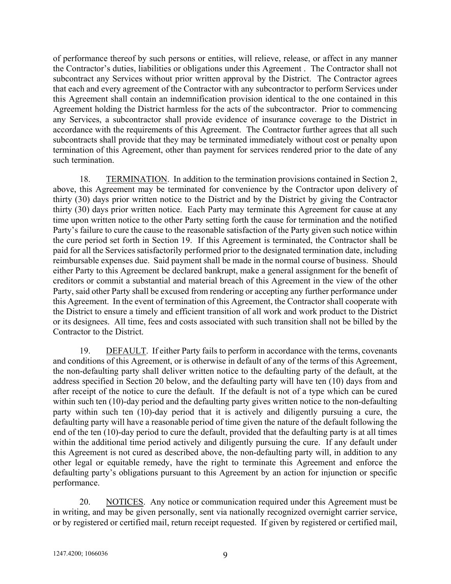of performance thereof by such persons or entities, will relieve, release, or affect in any manner the Contractor's duties, liabilities or obligations under this Agreement . The Contractor shall not subcontract any Services without prior written approval by the District. The Contractor agrees that each and every agreement of the Contractor with any subcontractor to perform Services under this Agreement shall contain an indemnification provision identical to the one contained in this Agreement holding the District harmless for the acts of the subcontractor. Prior to commencing any Services, a subcontractor shall provide evidence of insurance coverage to the District in accordance with the requirements of this Agreement. The Contractor further agrees that all such subcontracts shall provide that they may be terminated immediately without cost or penalty upon termination of this Agreement, other than payment for services rendered prior to the date of any such termination.

18. TERMINATION. In addition to the termination provisions contained in Section 2, above, this Agreement may be terminated for convenience by the Contractor upon delivery of thirty (30) days prior written notice to the District and by the District by giving the Contractor thirty (30) days prior written notice. Each Party may terminate this Agreement for cause at any time upon written notice to the other Party setting forth the cause for termination and the notified Party's failure to cure the cause to the reasonable satisfaction of the Party given such notice within the cure period set forth in Section 19. If this Agreement is terminated, the Contractor shall be paid for all the Services satisfactorily performed prior to the designated termination date, including reimbursable expenses due. Said payment shall be made in the normal course of business. Should either Party to this Agreement be declared bankrupt, make a general assignment for the benefit of creditors or commit a substantial and material breach of this Agreement in the view of the other Party, said other Party shall be excused from rendering or accepting any further performance under this Agreement. In the event of termination of this Agreement, the Contractor shall cooperate with the District to ensure a timely and efficient transition of all work and work product to the District or its designees. All time, fees and costs associated with such transition shall not be billed by the Contractor to the District.

19. DEFAULT. If either Party fails to perform in accordance with the terms, covenants and conditions of this Agreement, or is otherwise in default of any of the terms of this Agreement, the non-defaulting party shall deliver written notice to the defaulting party of the default, at the address specified in Section 20 below, and the defaulting party will have ten (10) days from and after receipt of the notice to cure the default. If the default is not of a type which can be cured within such ten (10)-day period and the defaulting party gives written notice to the non-defaulting party within such ten (10)-day period that it is actively and diligently pursuing a cure, the defaulting party will have a reasonable period of time given the nature of the default following the end of the ten (10)-day period to cure the default, provided that the defaulting party is at all times within the additional time period actively and diligently pursuing the cure. If any default under this Agreement is not cured as described above, the non-defaulting party will, in addition to any other legal or equitable remedy, have the right to terminate this Agreement and enforce the defaulting party's obligations pursuant to this Agreement by an action for injunction or specific performance.

20. NOTICES. Any notice or communication required under this Agreement must be in writing, and may be given personally, sent via nationally recognized overnight carrier service, or by registered or certified mail, return receipt requested. If given by registered or certified mail,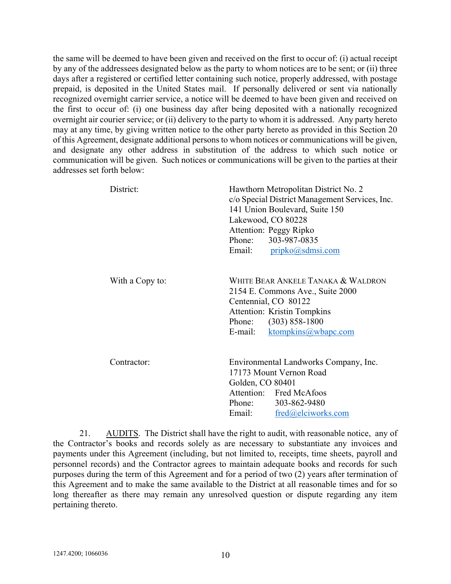the same will be deemed to have been given and received on the first to occur of: (i) actual receipt by any of the addressees designated below as the party to whom notices are to be sent; or (ii) three days after a registered or certified letter containing such notice, properly addressed, with postage prepaid, is deposited in the United States mail. If personally delivered or sent via nationally recognized overnight carrier service, a notice will be deemed to have been given and received on the first to occur of: (i) one business day after being deposited with a nationally recognized overnight air courier service; or (ii) delivery to the party to whom it is addressed. Any party hereto may at any time, by giving written notice to the other party hereto as provided in this Section 20 of this Agreement, designate additional persons to whom notices or communications will be given, and designate any other address in substitution of the address to which such notice or communication will be given. Such notices or communications will be given to the parties at their addresses set forth below:

| District:       | Hawthorn Metropolitan District No. 2<br>c/o Special District Management Services, Inc.<br>141 Union Boulevard, Suite 150<br>Lakewood, CO 80228<br>Attention: Peggy Ripko<br>Phone: 303-987-0835<br>pripko@sdmsi.com<br>Email: |
|-----------------|-------------------------------------------------------------------------------------------------------------------------------------------------------------------------------------------------------------------------------|
| With a Copy to: | White Bear Ankele Tanaka & Waldron<br>2154 E. Commons Ave., Suite 2000<br>Centennial, CO 80122<br><b>Attention: Kristin Tompkins</b><br>Phone: (303) 858-1800<br>ktompkins@wbapc.com<br>E-mail:                               |
| Contractor:     | Environmental Landworks Company, Inc.<br>17173 Mount Vernon Road<br>Golden, CO 80401<br>Attention: Fred McAfoos<br>Phone: 303-862-9480<br>Email: fred@elciworks.com                                                           |

21. AUDITS. The District shall have the right to audit, with reasonable notice, any of the Contractor's books and records solely as are necessary to substantiate any invoices and payments under this Agreement (including, but not limited to, receipts, time sheets, payroll and personnel records) and the Contractor agrees to maintain adequate books and records for such purposes during the term of this Agreement and for a period of two (2) years after termination of this Agreement and to make the same available to the District at all reasonable times and for so long thereafter as there may remain any unresolved question or dispute regarding any item pertaining thereto.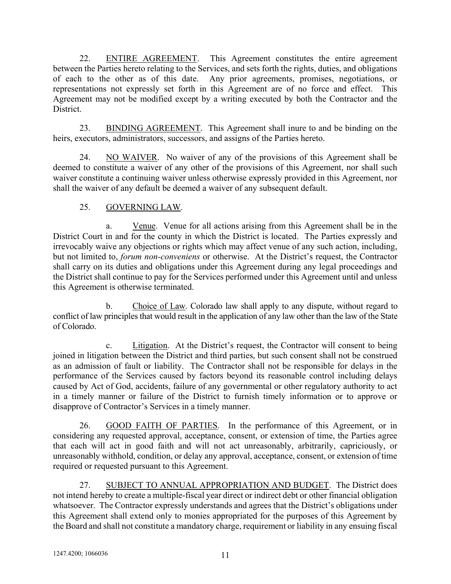22. ENTIRE AGREEMENT. This Agreement constitutes the entire agreement between the Parties hereto relating to the Services, and sets forth the rights, duties, and obligations of each to the other as of this date. Any prior agreements, promises, negotiations, or representations not expressly set forth in this Agreement are of no force and effect. This Agreement may not be modified except by a writing executed by both the Contractor and the District.

23. BINDING AGREEMENT. This Agreement shall inure to and be binding on the heirs, executors, administrators, successors, and assigns of the Parties hereto.

24. NO WAIVER. No waiver of any of the provisions of this Agreement shall be deemed to constitute a waiver of any other of the provisions of this Agreement, nor shall such waiver constitute a continuing waiver unless otherwise expressly provided in this Agreement, nor shall the waiver of any default be deemed a waiver of any subsequent default.

## 25. GOVERNING LAW.

a. Venue. Venue for all actions arising from this Agreement shall be in the District Court in and for the county in which the District is located. The Parties expressly and irrevocably waive any objections or rights which may affect venue of any such action, including, but not limited to, forum non-conveniens or otherwise. At the District's request, the Contractor shall carry on its duties and obligations under this Agreement during any legal proceedings and the District shall continue to pay for the Services performed under this Agreement until and unless this Agreement is otherwise terminated.

b. Choice of Law. Colorado law shall apply to any dispute, without regard to conflict of law principles that would result in the application of any law other than the law of the State of Colorado.

c. Litigation. At the District's request, the Contractor will consent to being joined in litigation between the District and third parties, but such consent shall not be construed as an admission of fault or liability. The Contractor shall not be responsible for delays in the performance of the Services caused by factors beyond its reasonable control including delays caused by Act of God, accidents, failure of any governmental or other regulatory authority to act in a timely manner or failure of the District to furnish timely information or to approve or disapprove of Contractor's Services in a timely manner.

26. GOOD FAITH OF PARTIES. In the performance of this Agreement, or in considering any requested approval, acceptance, consent, or extension of time, the Parties agree that each will act in good faith and will not act unreasonably, arbitrarily, capriciously, or unreasonably withhold, condition, or delay any approval, acceptance, consent, or extension of time required or requested pursuant to this Agreement.

27. SUBJECT TO ANNUAL APPROPRIATION AND BUDGET. The District does not intend hereby to create a multiple-fiscal year direct or indirect debt or other financial obligation whatsoever. The Contractor expressly understands and agrees that the District's obligations under this Agreement shall extend only to monies appropriated for the purposes of this Agreement by the Board and shall not constitute a mandatory charge, requirement or liability in any ensuing fiscal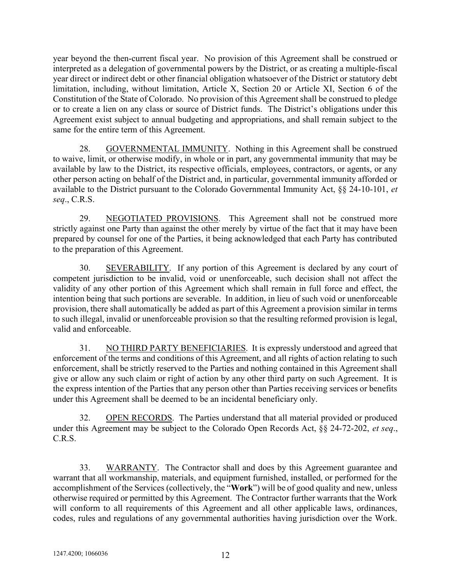year beyond the then-current fiscal year. No provision of this Agreement shall be construed or interpreted as a delegation of governmental powers by the District, or as creating a multiple-fiscal year direct or indirect debt or other financial obligation whatsoever of the District or statutory debt limitation, including, without limitation, Article X, Section 20 or Article XI, Section 6 of the Constitution of the State of Colorado. No provision of this Agreement shall be construed to pledge or to create a lien on any class or source of District funds. The District's obligations under this Agreement exist subject to annual budgeting and appropriations, and shall remain subject to the same for the entire term of this Agreement.

28. GOVERNMENTAL IMMUNITY. Nothing in this Agreement shall be construed to waive, limit, or otherwise modify, in whole or in part, any governmental immunity that may be available by law to the District, its respective officials, employees, contractors, or agents, or any other person acting on behalf of the District and, in particular, governmental immunity afforded or available to the District pursuant to the Colorado Governmental Immunity Act, §§ 24-10-101, et seq., C.R.S.

29. NEGOTIATED PROVISIONS. This Agreement shall not be construed more strictly against one Party than against the other merely by virtue of the fact that it may have been prepared by counsel for one of the Parties, it being acknowledged that each Party has contributed to the preparation of this Agreement.

30. SEVERABILITY. If any portion of this Agreement is declared by any court of competent jurisdiction to be invalid, void or unenforceable, such decision shall not affect the validity of any other portion of this Agreement which shall remain in full force and effect, the intention being that such portions are severable. In addition, in lieu of such void or unenforceable provision, there shall automatically be added as part of this Agreement a provision similar in terms to such illegal, invalid or unenforceable provision so that the resulting reformed provision is legal, valid and enforceable.

31. NO THIRD PARTY BENEFICIARIES. It is expressly understood and agreed that enforcement of the terms and conditions of this Agreement, and all rights of action relating to such enforcement, shall be strictly reserved to the Parties and nothing contained in this Agreement shall give or allow any such claim or right of action by any other third party on such Agreement. It is the express intention of the Parties that any person other than Parties receiving services or benefits under this Agreement shall be deemed to be an incidental beneficiary only.

32. OPEN RECORDS. The Parties understand that all material provided or produced under this Agreement may be subject to the Colorado Open Records Act, §§ 24-72-202, et seq., C.R.S.

33. WARRANTY. The Contractor shall and does by this Agreement guarantee and warrant that all workmanship, materials, and equipment furnished, installed, or performed for the accomplishment of the Services (collectively, the "Work") will be of good quality and new, unless otherwise required or permitted by this Agreement. The Contractor further warrants that the Work will conform to all requirements of this Agreement and all other applicable laws, ordinances, codes, rules and regulations of any governmental authorities having jurisdiction over the Work.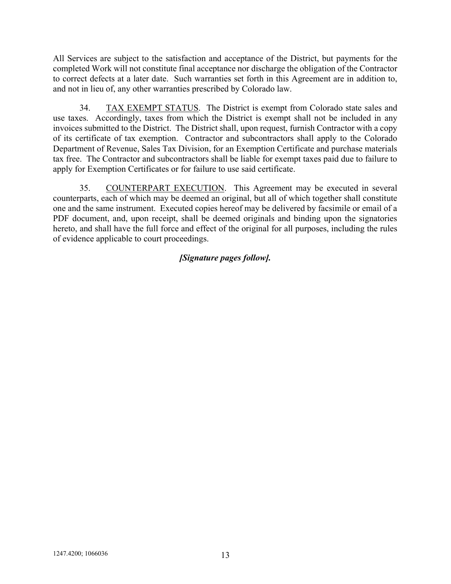All Services are subject to the satisfaction and acceptance of the District, but payments for the completed Work will not constitute final acceptance nor discharge the obligation of the Contractor to correct defects at a later date. Such warranties set forth in this Agreement are in addition to, and not in lieu of, any other warranties prescribed by Colorado law.

34. TAX EXEMPT STATUS. The District is exempt from Colorado state sales and use taxes. Accordingly, taxes from which the District is exempt shall not be included in any invoices submitted to the District. The District shall, upon request, furnish Contractor with a copy of its certificate of tax exemption. Contractor and subcontractors shall apply to the Colorado Department of Revenue, Sales Tax Division, for an Exemption Certificate and purchase materials tax free. The Contractor and subcontractors shall be liable for exempt taxes paid due to failure to apply for Exemption Certificates or for failure to use said certificate.

35. COUNTERPART EXECUTION. This Agreement may be executed in several counterparts, each of which may be deemed an original, but all of which together shall constitute one and the same instrument. Executed copies hereof may be delivered by facsimile or email of a PDF document, and, upon receipt, shall be deemed originals and binding upon the signatories hereto, and shall have the full force and effect of the original for all purposes, including the rules of evidence applicable to court proceedings.

# [Signature pages follow].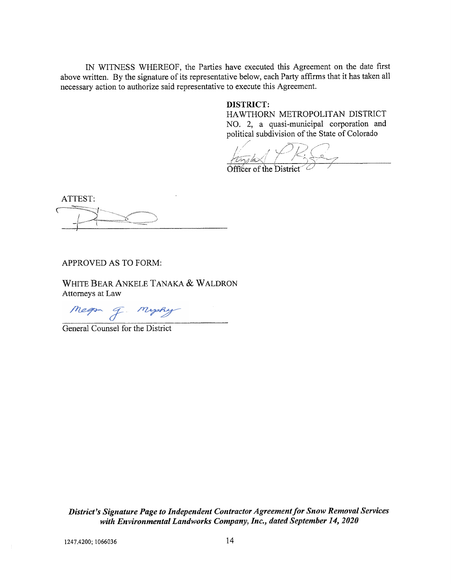IN WITNESS WHEREOF, the Parties have executed this Agreement on the date first above written. By the signature of its representative below, each Party affirms that it has taken all necessary action to authorize said representative to execute this Agreement.

#### **DISTRICT:**

HAWTHORN METROPOLITAN DISTRICT NO. 2, a quasi-municipal corporation and political subdivision of the State of Colorado

Officer of the Distr

ATTEST:

APPROVED AS TO FORM:

WHITE BEAR ANKELE TANAKA & WALDRON Attorneys at Law

Megan J. Mysky

General Counsel for the District

District's Signature Page to Independent Contractor Agreement for Snow Removal Services with Environmental Landworks Company, Inc., dated September 14, 2020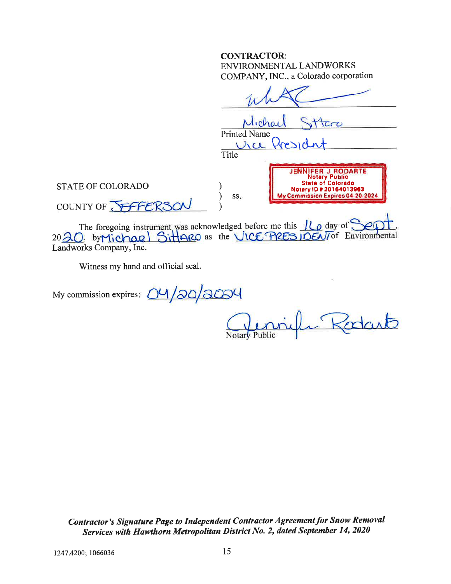#### **CONTRACTOR:** ENVIRONMENTAL LANDWORKS COMPANY, INC., a Colorado corporation

|                                                        | Michael<br>522<br><b>Printed Name</b><br>President<br>Vice<br>Title                                                                                 |  |
|--------------------------------------------------------|-----------------------------------------------------------------------------------------------------------------------------------------------------|--|
| <b>STATE OF COLORADO</b><br>COUNTY OF <b>JEFFERSON</b> | <b>JENNIFER J RODARTE</b><br><b>Notary Public</b><br><b>State of Colorado</b><br>Notary ID # 20164013963<br>My Commission Expires 04-20-2024<br>SS. |  |

The foregoing instrument was acknowledged before me this  $16$  day of Sept.<br>2020, by Michael Sittlare as the VICE PRES IDENT of Environmental Landworks Company, Inc.

Witness my hand and official seal.

My commission expires: 04/20/2004

mille Rodart

Contractor's Signature Page to Independent Contractor Agreement for Snow Removal Services with Hawthorn Metropolitan District No. 2, dated September 14, 2020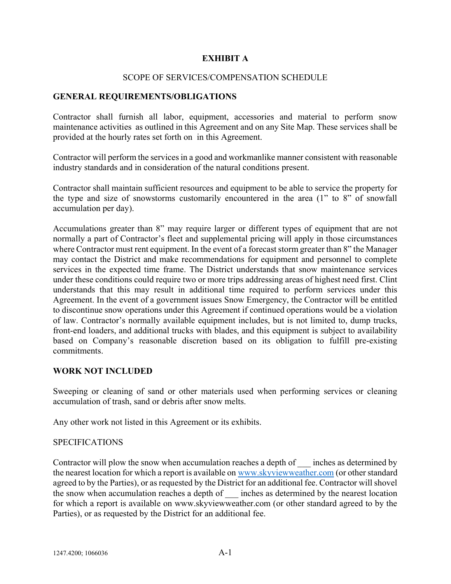#### EXHIBIT A

#### SCOPE OF SERVICES/COMPENSATION SCHEDULE

#### GENERAL REQUIREMENTS/OBLIGATIONS

Contractor shall furnish all labor, equipment, accessories and material to perform snow maintenance activities as outlined in this Agreement and on any Site Map. These services shall be provided at the hourly rates set forth on in this Agreement.

Contractor will perform the services in a good and workmanlike manner consistent with reasonable industry standards and in consideration of the natural conditions present.

Contractor shall maintain sufficient resources and equipment to be able to service the property for the type and size of snowstorms customarily encountered in the area (1" to 8" of snowfall accumulation per day).

Accumulations greater than 8" may require larger or different types of equipment that are not normally a part of Contractor's fleet and supplemental pricing will apply in those circumstances where Contractor must rent equipment. In the event of a forecast storm greater than 8" the Manager may contact the District and make recommendations for equipment and personnel to complete services in the expected time frame. The District understands that snow maintenance services under these conditions could require two or more trips addressing areas of highest need first. Clint understands that this may result in additional time required to perform services under this Agreement. In the event of a government issues Snow Emergency, the Contractor will be entitled to discontinue snow operations under this Agreement if continued operations would be a violation of law. Contractor's normally available equipment includes, but is not limited to, dump trucks, front-end loaders, and additional trucks with blades, and this equipment is subject to availability based on Company's reasonable discretion based on its obligation to fulfill pre-existing commitments.

#### WORK NOT INCLUDED

Sweeping or cleaning of sand or other materials used when performing services or cleaning accumulation of trash, sand or debris after snow melts.

Any other work not listed in this Agreement or its exhibits.

#### **SPECIFICATIONS**

Contractor will plow the snow when accumulation reaches a depth of inches as determined by the nearest location for which a report is available on www.skyviewweather.com (or other standard agreed to by the Parties), or as requested by the District for an additional fee. Contractor will shovel the snow when accumulation reaches a depth of \_\_\_ inches as determined by the nearest location for which a report is available on www.skyviewweather.com (or other standard agreed to by the Parties), or as requested by the District for an additional fee.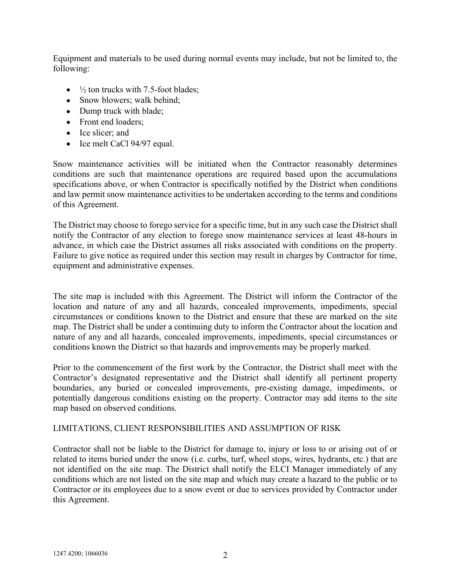Equipment and materials to be used during normal events may include, but not be limited to, the following:

- $\bullet$   $\frac{1}{2}$  ton trucks with 7.5-foot blades;
- Snow blowers; walk behind;
- Dump truck with blade;
- Front end loaders;
- Ice slicer; and
- Ice melt CaCl 94/97 equal.

Snow maintenance activities will be initiated when the Contractor reasonably determines conditions are such that maintenance operations are required based upon the accumulations specifications above, or when Contractor is specifically notified by the District when conditions and law permit snow maintenance activities to be undertaken according to the terms and conditions of this Agreement.

The District may choose to forego service for a specific time, but in any such case the District shall notify the Contractor of any election to forego snow maintenance services at least 48-hours in advance, in which case the District assumes all risks associated with conditions on the property. Failure to give notice as required under this section may result in charges by Contractor for time, equipment and administrative expenses.

The site map is included with this Agreement. The District will inform the Contractor of the location and nature of any and all hazards, concealed improvements, impediments, special circumstances or conditions known to the District and ensure that these are marked on the site map. The District shall be under a continuing duty to inform the Contractor about the location and nature of any and all hazards, concealed improvements, impediments, special circumstances or conditions known the District so that hazards and improvements may be properly marked.

Prior to the commencement of the first work by the Contractor, the District shall meet with the Contractor's designated representative and the District shall identify all pertinent property boundaries, any buried or concealed improvements, pre-existing damage, impediments, or potentially dangerous conditions existing on the property. Contractor may add items to the site map based on observed conditions.

#### LIMITATIONS, CLIENT RESPONSIBILITIES AND ASSUMPTION OF RISK

Contractor shall not be liable to the District for damage to, injury or loss to or arising out of or related to items buried under the snow (i.e. curbs, turf, wheel stops, wires, hydrants, etc.) that are not identified on the site map. The District shall notify the ELCI Manager immediately of any conditions which are not listed on the site map and which may create a hazard to the public or to Contractor or its employees due to a snow event or due to services provided by Contractor under this Agreement.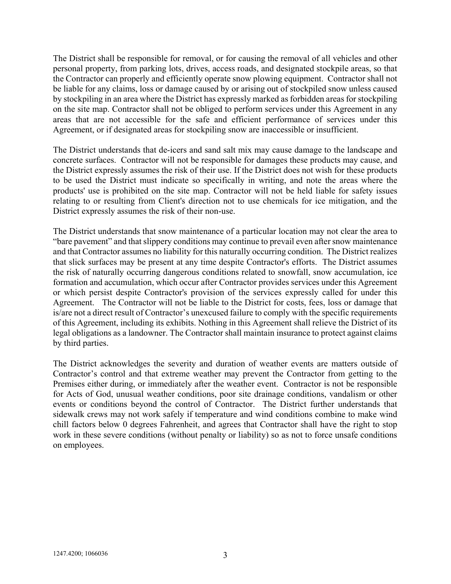The District shall be responsible for removal, or for causing the removal of all vehicles and other personal property, from parking lots, drives, access roads, and designated stockpile areas, so that the Contractor can properly and efficiently operate snow plowing equipment. Contractor shall not be liable for any claims, loss or damage caused by or arising out of stockpiled snow unless caused by stockpiling in an area where the District has expressly marked as forbidden areas for stockpiling on the site map. Contractor shall not be obliged to perform services under this Agreement in any areas that are not accessible for the safe and efficient performance of services under this Agreement, or if designated areas for stockpiling snow are inaccessible or insufficient.

The District understands that de-icers and sand salt mix may cause damage to the landscape and concrete surfaces. Contractor will not be responsible for damages these products may cause, and the District expressly assumes the risk of their use. If the District does not wish for these products to be used the District must indicate so specifically in writing, and note the areas where the products' use is prohibited on the site map. Contractor will not be held liable for safety issues relating to or resulting from Client's direction not to use chemicals for ice mitigation, and the District expressly assumes the risk of their non-use.

The District understands that snow maintenance of a particular location may not clear the area to "bare pavement" and that slippery conditions may continue to prevail even after snow maintenance and that Contractor assumes no liability for this naturally occurring condition. The District realizes that slick surfaces may be present at any time despite Contractor's efforts. The District assumes the risk of naturally occurring dangerous conditions related to snowfall, snow accumulation, ice formation and accumulation, which occur after Contractor provides services under this Agreement or which persist despite Contractor's provision of the services expressly called for under this Agreement. The Contractor will not be liable to the District for costs, fees, loss or damage that is/are not a direct result of Contractor's unexcused failure to comply with the specific requirements of this Agreement, including its exhibits. Nothing in this Agreement shall relieve the District of its legal obligations as a landowner. The Contractor shall maintain insurance to protect against claims by third parties.

The District acknowledges the severity and duration of weather events are matters outside of Contractor's control and that extreme weather may prevent the Contractor from getting to the Premises either during, or immediately after the weather event. Contractor is not be responsible for Acts of God, unusual weather conditions, poor site drainage conditions, vandalism or other events or conditions beyond the control of Contractor. The District further understands that sidewalk crews may not work safely if temperature and wind conditions combine to make wind chill factors below 0 degrees Fahrenheit, and agrees that Contractor shall have the right to stop work in these severe conditions (without penalty or liability) so as not to force unsafe conditions on employees.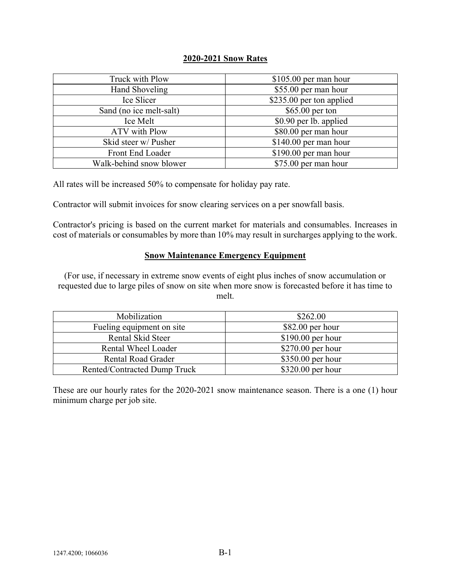#### 2020-2021 Snow Rates

| Truck with Plow         | $$105.00$ per man hour   |
|-------------------------|--------------------------|
| <b>Hand Shoveling</b>   | \$55.00 per man hour     |
| Ice Slicer              | \$235.00 per ton applied |
| Sand (no ice melt-salt) | $$65.00$ per ton         |
| Ice Melt                | \$0.90 per lb. applied   |
| <b>ATV</b> with Plow    | \$80.00 per man hour     |
| Skid steer w/ Pusher    | $$140.00$ per man hour   |
| Front End Loader        | $$190.00$ per man hour   |
| Walk-behind snow blower | \$75.00 per man hour     |

All rates will be increased 50% to compensate for holiday pay rate.

Contractor will submit invoices for snow clearing services on a per snowfall basis.

Contractor's pricing is based on the current market for materials and consumables. Increases in cost of materials or consumables by more than 10% may result in surcharges applying to the work.

#### Snow Maintenance Emergency Equipment

(For use, if necessary in extreme snow events of eight plus inches of snow accumulation or requested due to large piles of snow on site when more snow is forecasted before it has time to melt.

| Mobilization                 | \$262.00           |
|------------------------------|--------------------|
| Fueling equipment on site    | $$82.00$ per hour  |
| Rental Skid Steer            | $$190.00$ per hour |
| Rental Wheel Loader          | $$270.00$ per hour |
| <b>Rental Road Grader</b>    | $$350.00$ per hour |
| Rented/Contracted Dump Truck | $$320.00$ per hour |

These are our hourly rates for the 2020-2021 snow maintenance season. There is a one (1) hour minimum charge per job site.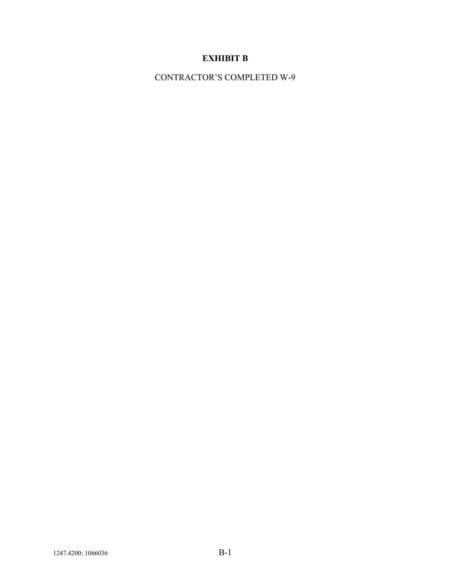# EXHIBIT B

CONTRACTOR'S COMPLETED W-9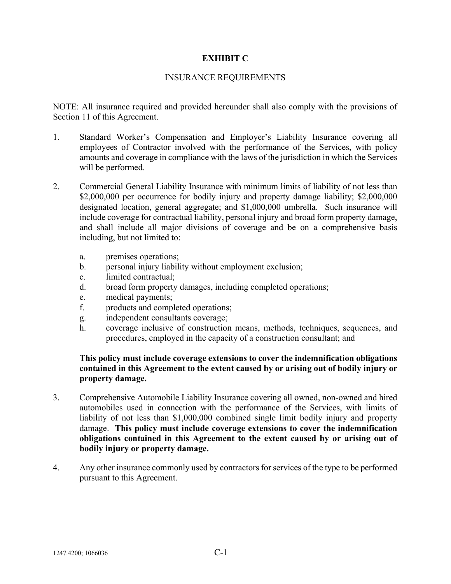#### EXHIBIT C

#### INSURANCE REQUIREMENTS

NOTE: All insurance required and provided hereunder shall also comply with the provisions of Section 11 of this Agreement.

- 1. Standard Worker's Compensation and Employer's Liability Insurance covering all employees of Contractor involved with the performance of the Services, with policy amounts and coverage in compliance with the laws of the jurisdiction in which the Services will be performed.
- 2. Commercial General Liability Insurance with minimum limits of liability of not less than \$2,000,000 per occurrence for bodily injury and property damage liability; \$2,000,000 designated location, general aggregate; and \$1,000,000 umbrella. Such insurance will include coverage for contractual liability, personal injury and broad form property damage, and shall include all major divisions of coverage and be on a comprehensive basis including, but not limited to:
	- a. premises operations;
	- b. personal injury liability without employment exclusion;
	- c. limited contractual;
	- d. broad form property damages, including completed operations;
	- e. medical payments;
	- f. products and completed operations;
	- g. independent consultants coverage;
	- h. coverage inclusive of construction means, methods, techniques, sequences, and procedures, employed in the capacity of a construction consultant; and

#### This policy must include coverage extensions to cover the indemnification obligations contained in this Agreement to the extent caused by or arising out of bodily injury or property damage.

- 3. Comprehensive Automobile Liability Insurance covering all owned, non-owned and hired automobiles used in connection with the performance of the Services, with limits of liability of not less than \$1,000,000 combined single limit bodily injury and property damage. This policy must include coverage extensions to cover the indemnification obligations contained in this Agreement to the extent caused by or arising out of bodily injury or property damage.
- 4. Any other insurance commonly used by contractors for services of the type to be performed pursuant to this Agreement.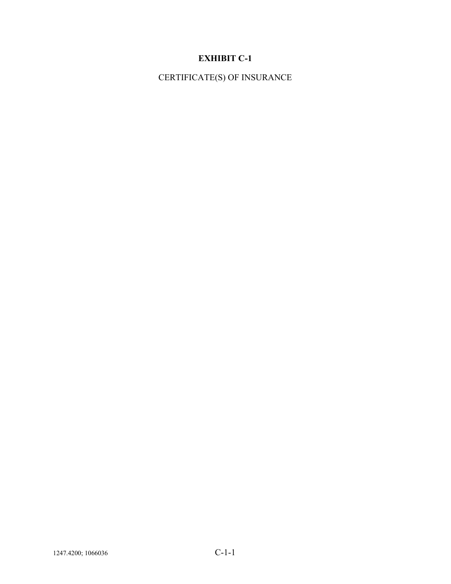# EXHIBIT C-1

CERTIFICATE(S) OF INSURANCE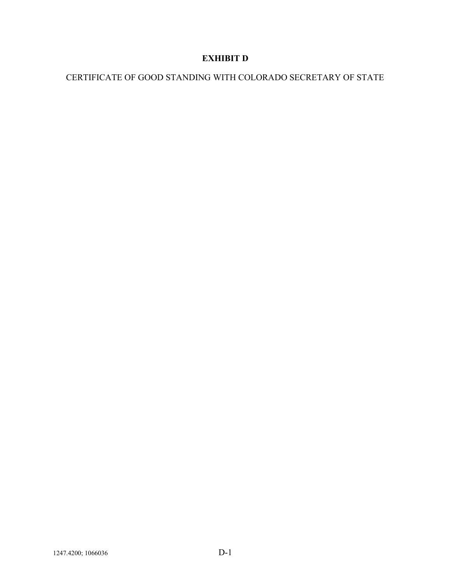# EXHIBIT D

# CERTIFICATE OF GOOD STANDING WITH COLORADO SECRETARY OF STATE